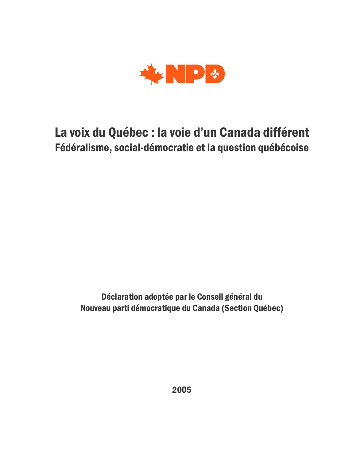

## La voix du Québec : la voie d'un Canada différent Fédéralisme, social-démocratie et la question québécoise

Déclaration adoptée par le Conseil général du Nouveau parti démocratique du Canada (Section Québec)

2005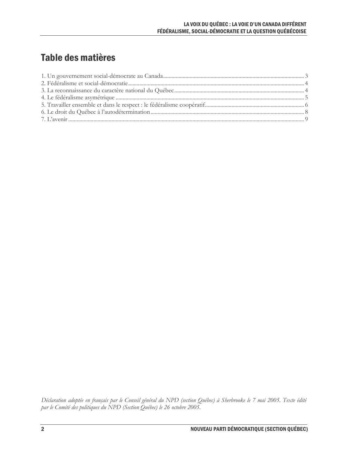## Table des matières

Déclaration adoptée en français par le Conseil général du NPD (section Québec) à Sherbrooke le 7 mai 2005. Texte édité par le Comité des politiques du NPD (Section Québec) le 26 octobre 2005.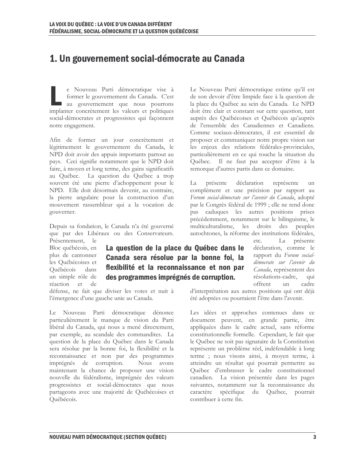## 1. Un gouvernement social-démocrate au Canada

e Nouveau Parti démocratique vise à former le gouvernement du Canada. C'est au gouvernement que nous pourrons implanter concrètement les valeurs et politiques social-démocrates et progressistes qui façonnent notre engagement.

Afin de former un jour concrètement et légitimement le gouvernement du Canada, le NPD doit avoir des appuis importants partout au pays. Ceci signifie notamment que le NPD doit faire, à moyen et long terme, des gains significatifs au Québec. La question du Québec a trop souvent été une pierre d'achoppement pour le NPD. Elle doit désormais devenir, au contraire, la pierre angulaire pour la construction d'un mouvement rassembleur qui a la vocation de gouverner.

Depuis sa fondation, le Canada n'a été gouverné que par des Libéraux ou des Conservateurs.

Présentement, le Bloc québécois, en plus de cantonner les Québécoises et Québécois dans un simple rôle de réaction et de

La question de la place du Québec dans le Canada sera résolue par la bonne foi, la flexibilité et la reconnaissance et non par des programmes imprégnés de corruption.

défense, ne fait que diviser les votes et nuit à l'émergence d'une gauche unie au Canada.

Le Nouveau Parti démocratique dénonce particulièrement le manque de vision du Parti libéral du Canada, qui nous a mené directement, par exemple, au scandale des commandites. La question de la place du Québec dans le Canada sera résolue par la bonne foi, la flexibilité et la reconnaissance et non par des programmes imprégnés de corruption. Nous avons maintenant la chance de proposer une vision nouvelle du fédéralisme, imprégnée des valeurs progressistes et social-démocrates que nous partageons avec une majorité de Québécoises et Québécois.

Le Nouveau Parti démocratique estime qu'il est de son devoir d'être limpide face à la question de la place du Québec au sein du Canada. Le NPD doit être clair et constant sur cette question, tant auprès des Québécoises et Québécois qu'auprès de l'ensemble des Canadiennes et Canadiens. Comme sociaux-démocrates, il est essentiel de proposer et communiquer notre propre vision sur les enjeux des relations fédérales-provinciales, particulièrement en ce qui touche la situation du Québec. Il ne faut pas accepter d'être à la remorque d'autres partis dans ce domaine.

présente déclaration représente La un complément et une précision par rapport au Forum social-démocrate sur l'avenir du Canada, adopté par le Congrès fédéral de 1999 ; elle ne rend donc pas caduques les autres positions prises précédemment, notamment sur le bilinguisme, le multiculturalisme, les droits des peuples autochtones, la réforme des institutions fédérales,

> La présente etc. déclaration, comme le rapport du Forum socialdémocrate sur l'avenir du Canada, représentent des résolutions-cadre.  $qui$ offrent un cadre

d'interprétation aux autres positions qui ont déjà été adoptées ou pourraient l'être dans l'avenir.

Les idées et approches contenues dans ce document peuvent, en grande partie, être appliquées dans le cadre actuel, sans réforme constitutionnelle formelle. Cependant, le fait que le Québec ne soit pas signataire de la Constitution représente un problème réel, indéfendable à long terme ; nous visons ainsi, à moyen terme, à atteindre un résultat qui pourrait permettre au Québec d'embrasser le cadre constitutionnel canadien. La vision présentée dans les pages suivantes, notamment sur la reconnaissance du caractère spécifique du Québec, pourrait contribuer à cette fin.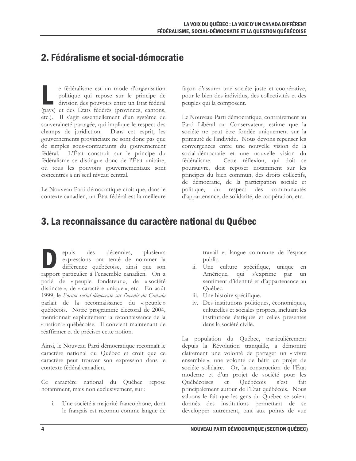## 2. Fédéralisme et social-démocratie

e fédéralisme est un mode d'organisation politique qui repose sur le principe de division des pouvoirs entre un État fédéral (pays) et des États fédérés (provinces, cantons, etc.). Il s'agit essentiellement d'un système de souveraineté partagée, qui implique le respect des champs de juridiction. Dans cet esprit, les gouvernements provinciaux ne sont donc pas que de simples sous-contractants du gouvernement fédéral. L'État construit sur le principe du fédéralisme se distingue donc de l'État unitaire, où tous les pouvoirs gouvernementaux sont concentrés à un seul niveau central.

Le Nouveau Parti démocratique croit que, dans le contexte canadien, un État fédéral est la meilleure

façon d'assurer une société juste et coopérative, pour le bien des individus, des collectivités et des peuples qui la composent.

Le Nouveau Parti démocratique, contrairement au Parti Libéral ou Conservateur, estime que la société ne peut être fondée uniquement sur la primauté de l'individu. Nous devons repenser les convergences entre une nouvelle vision de la social-démocratie et une nouvelle vision du fédéralisme. Cette réflexion, qui doit se poursuivre, doit reposer notamment sur les principes du bien commun, des droits collectifs, de démocratie, de la participation sociale et politique, du respect des communautés d'appartenance, de solidarité, de coopération, etc.

### 3. La reconnaissance du caractère national du Québec

epuis des décennies, plusieurs expressions ont tenté de nommer la différence québécoise, ainsi que son rapport particulier à l'ensemble canadien. On a parlé de « peuple fondateur », de « société distincte », de « caractère unique », etc. En août 1999, le Forum social-démocrate sur l'avenir du Canada parlait de la reconnaissance du « peuple » québécois. Notre programme électoral de 2004, mentionnait explicitement la reconnaissance de la « nation » québécoise. Il convient maintenant de réaffirmer et de préciser cette notion.

Ainsi, le Nouveau Parti démocratique reconnaît le caractère national du Québec et croit que ce caractère peut trouver son expression dans le contexte fédéral canadien.

Ce caractère national du Québec repose notamment, mais non exclusivement, sur :

Une société à majorité francophone, dont le français est reconnu comme langue de

travail et langue commune de l'espace public.

- ii. Une culture spécifique, unique en Amérique, qui s'exprime par un sentiment d'identité et d'appartenance au Québec.
- iii. Une histoire spécifique.
- iv. Des institutions politiques, économiques, culturelles et sociales propres, incluant les institutions étatiques et celles présentes dans la société civile.

La population du Québec, particulièrement depuis la Révolution tranquille, a démontré clairement une volonté de partager un « vivre ensemble», une volonté de bâtir un projet de société solidaire. Or, la construction de l'État moderne et d'un projet de société pour les Ouébécoises et Ouébécois s'est fait principalement autour de l'État québécois. Nous saluons le fait que les gens du Québec se soient donnés des institutions permettant de se développer autrement, tant aux points de vue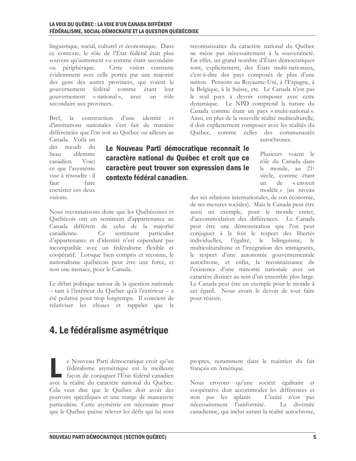#### LA VOIX DU OUÉBEC : LA VOIE D'UN CANADA DIFFÉRENT FÉDÉRALISME, SOCIAL-DÉMOCRATIE ET LA QUESTION QUÉBÉCOISE

linguistique, social, culturel et économique. Dans ce contexte, le rôle de l'État fédéral était plus souvent qu'autrement vu comme étant secondaire ou périphérique. Cette vision contraste évidemment avec celle portée par une majorité des gens des autres provinces, qui voient le gouvernement fédéral comme étant leur gouvernement « national », rôle avec un secondaire aux provinces.

Bref, la construction d'une identité et d'institutions nationales s'est fait de manière différenciée que l'on soit au Québec ou ailleurs au

Canada. Voilà un des nœuds du dilemme beau canadien. Voici ce que l'asymétrie vise à résoudre : il faire faut coexister ces deux  $visions$ 

Le Nouveau Parti démocratique reconnaît le caractère national du Québec et croit que ce caractère peut trouver son expression dans le contexte fédéral canadien.

Nous reconnaissons donc que les Québécoises et Québécois ont un sentiment d'appartenance au Canada différent de celui de la majorité canadienne. Ce sentiment particulier d'appartenance et d'identité n'est cependant pas incompatible avec un fédéralisme flexible et coopératif. Lorsque bien compris et reconnu, le nationalisme québécois peut être une force, et non une menace, pour le Canada.

Le débat politique autour de la question nationale - tant à l'intérieur du Québec qu'à l'extérieur - a été polarisé pour trop longtemps. Il convient de relativiser les choses et rappeler que la Canada comme étant un pays « multi-national ». Ainsi, en plus de la nouvelle réalité multiculturelle, il doit explicitement composer avec les réalités du Québec, comme celles des communautés

reconnaissance du caractère national du Québec

ne mène pas nécessairement à la souveraineté.

En effet, un grand nombre d'États démocratiques sont, explicitement, des États multi-nationaux,

c'est-à-dire des pays composés de plus d'une

nation. Pensons au Royaume-Uni, à l'Espagne, à

la Belgique, à la Suisse, etc. Le Canada n'est pas

le seul pays à devoir composer avec cette

dynamique. Le NPD comprend la nature du

autochtones

Plusieurs voient le rôle du Canada dans le monde, au 21<sup>e</sup> siècle, comme étant  $\mathbf{u}$ de « citoyen modèle » (au niveau

des ses relations internationales, de son économie, de ses mesures sociales). Mais le Canada peut être aussi un exemple, pour le monde entier, d'accommodation des différences. Le Canada peut être une démonstration que l'on peut conjuguer à la fois le respect des libertés individuelles, l'égalité, le bilinguisme, le multiculturalisme et l'intégration des immigrants, le respect d'une autonomie gouvernementale autochtone, et enfin, la reconnaissance de l'existence d'une minorité nationale avec un caractère distinct au sein d'un ensemble plus large. Le Canada peut être un exemple pour le monde à cet égard. Nous avons le devoir de tout faire pour réussir.

## 4. Le fédéralisme asymétrique

e Nouveau Parti démocratique croit qu'un fédéralisme asymétrique est la meilleure façon de conjuguer l'État fédéral canadien avec la réalité du caractère national du Québec. Cela veut dire que le Québec doit avoir des pouvoirs spécifiques et une marge de manœuvre particulière. Cette asymétrie est nécessaire pour que le Québec puisse relever les défis qui lui sont

propres, notamment dans le maintien du fait français en Amérique.

Nous croyons qu'une société égalitaire et coopérative doit accommoder les différences et non pas les aplanir. L'unité n'est pas nécessairement l'uniformité. La diversité canadienne, qui inclut autant la réalité autochtone,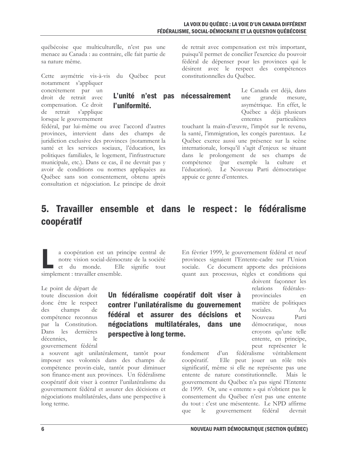nécessairement

québécoise que multiculturelle, n'est pas une menace au Canada : au contraire, elle fait partie de sa nature même.

Cette asymétrie vis-à-vis du Québec peut

notamment s'appliquer concrètement par un droit de retrait avec compensation. Ce droit de retrait s'applique lorsque le gouvernement

| L'unité n'est pas |  |  |  |  |
|-------------------|--|--|--|--|
| l'uniformité.     |  |  |  |  |

fédéral, par lui-même ou avec l'accord d'autres provinces, intervient dans des champs de juridiction exclusive des provinces (notamment la santé et les services sociaux, l'éducation, les politiques familiales, le logement, l'infrastructure municipale, etc.). Dans ce cas, il ne devrait pas y avoir de conditions ou normes appliquées au Québec sans son consentement, obtenu après consultation et négociation. Le principe de droit de retrait avec compensation est très important, puisqu'il permet de concilier l'exercice du pouvoir fédéral de dépenser pour les provinces qui le désirent avec le respect des compétences constitutionnelles du Ouébec.

> Le Canada est déjà, dans grande une mesure, asymétrique. En effet, le Québec a déjà plusieurs ententes particulières

touchant la main-d'œuvre, l'impôt sur le revenu, la santé, l'immigration, les congés parentaux. Le Québec exerce aussi une présence sur la scène internationale, lorsqu'il s'agit d'enjeux se situant dans le prolongement de ses champs de compétence (par exemple la culture et l'éducation). Le Nouveau Parti démocratique appuie ce genre d'ententes.

## 5. Travailler ensemble et dans le respect : le fédéralisme coopératif

a coopération est un principe central de notre vision social-démocrate de la société et du monde. Elle signifie tout simplement : travailler ensemble.

a souvent agit unilatéralement, tantôt pour

imposer ses volontés dans des champs de

compétence provin-ciale, tantôt pour diminuer

son finance-ment aux provinces. Un fédéralisme

coopératif doit viser à contrer l'unilatéralisme du

gouvernement fédéral et assurer des décisions et

négociations multilatérales, dans une perspective à

Le point de départ de toute discussion doit donc être le respect des champs de compétence reconnus par la Constitution. Dans les dernières décennies.  $1\alpha$ gouvernement fédéral

Un fédéralisme coopératif doit viser à contrer l'unilatéralisme du gouvernement fédéral et assurer des décisions et négociations multilatérales, dans une perspective à long terme.

En février 1999, le gouvernement fédéral et neuf provinces signaient l'Entente-cadre sur l'Union sociale. Ce document apporte des précisions quant aux processus, règles et conditions qui doivent faconner les

relations fédéralesprovinciales  $en$ matière de politiques sociales.  $Au$ Nouveau Parti démocratique, nous croyons qu'une telle entente, en principe, peut représenter le

fédéralisme véritablement fondement d'un Elle peut jouer un rôle très coopératif. significatif, même si elle ne représente pas une entente de nature constitutionnelle. Mais le gouvernement du Québec n'a pas signé l'Entente de 1999. Or, une « entente » qui n'obtient pas le consentement du Québec n'est pas une entente du tout : c'est une mésentente. Le NPD affirme gouvernement fédéral que le devrait

long terme.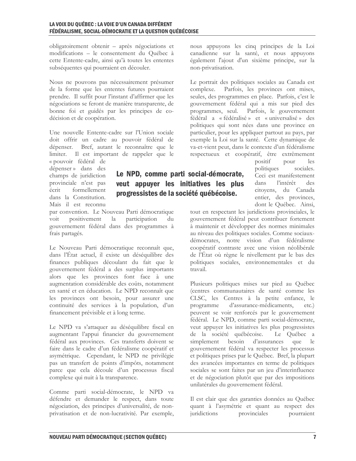obligatoirement obtenir - après négociations et modifications - le consentement du Ouébec à cette Entente-cadre, ainsi qu'à toutes les ententes subséquentes qui pourraient en découler.

Nous ne pouvons pas nécessairement présumer de la forme que les ententes futures pourraient prendre. Il suffit pour l'instant d'affirmer que les négociations se feront de manière transparente, de bonne foi et guidés par les principes de codécision et de coopération.

Une nouvelle Entente-cadre sur l'Union sociale doit offrir un cadre au pouvoir fédéral de dépenser. Bref, autant le reconnaître que le limiter. Il est important de rappeler que le

« pouvoir fédéral de dépenser» dans des champs de juridiction provinciale n'est pas formellement écrit dans la Constitution Mais il est reconnu

par convention. Le Nouveau Parti démocratique participation voit positivement  $la$ du gouvernement fédéral dans des programmes à frais partagés.

Le Nouveau Parti démocratique reconnaît que, dans l'État actuel, il existe un déséquilibre des finances publiques découlant du fait que le gouvernement fédéral a des surplus importants alors que les provinces font face à une augmentation considérable des coûts, notamment en santé et en éducation. Le NPD reconnaît que les provinces ont besoin, pour assurer une continuité des services à la population, d'un financement prévisible et à long terme.

Le NPD va s'attaquer au déséquilibre fiscal en augmentant l'appui financier du gouvernement fédéral aux provinces. Ces transferts doivent se faire dans le cadre d'un fédéralisme coopératif et asymétrique. Cependant, le NPD ne privilégie pas un transfert de points d'impôts, notamment parce que cela découle d'un processus fiscal complexe qui nuit à la transparence.

Comme parti social-démocrate, le NPD va défendre et demander le respect, dans toute négociation, des principes d'universalité, de nonprivatisation et de non-lucrativité. Par exemple, nous appuyons les cinq principes de la Loi canadienne sur la santé, et nous appuyons également l'ajout d'un sixième principe, sur la non-privatisation.

Le portrait des politiques sociales au Canada est complexe. Parfois, les provinces ont mises, seules, des programmes en place. Parfois, c'est le gouvernement fédéral qui a mis sur pied des Parfois, le gouvernement programmes, seul. fédéral a « fédéralisé » et « universalisé » des politiques qui sont nées dans une province en particulier, pour les appliquer partout au pays, par exemple la Loi sur la santé. Cette dynamique de va-et-vient peut, dans le contexte d'un fédéralisme respectueux et coopératif, être extrêmement

positif pour les politiques sociales. Ceci est manifestement dans l'intérêt des citovens. du Canada entier, des provinces, dont le Québec. Ainsi,

tout en respectant les juridictions provinciales, le gouvernement fédéral peut contribuer fortement à maintenir et développer des normes minimales au niveau des politiques sociales. Comme sociauxdémocrates, notre vision d'un fédéralisme coopératif contraste avec une vision néolibérale de l'État où règne le nivellement par le bas des politiques sociales, environnementales et du travail.

Plusieurs politiques mises sur pied au Québec (centres communautaires de santé comme les CLSC, les Centres à la petite enfance, le programme d'assurance-médicaments,  $etc.$ ) peuvent se voir renforcés par le gouvernement fédéral. Le NPD, comme parti social-démocrate, veut appuyer les initiatives les plus progressistes de la société québécoise. Le Québec a simplement besoin d'assurances que le gouvernement fédéral va respecter les processus et politiques prises par le Québec. Bref, la plupart des avancées importantes en terme de politiques sociales se sont faites par un jeu d'interinfluence et de négociation plutôt que par des impositions unilatérales du gouvernement fédéral.

Il est clair que des garanties données au Québec quant à l'asymétrie et quant au respect des provinciales juridictions pourraient

# progressistes de la société québécoise.

Le NPD, comme parti social-démocrate,

veut appuyer les initiatives les plus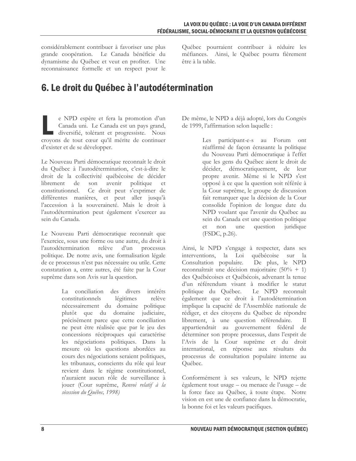considérablement contribuer à favoriser une plus grande coopération. Le Canada bénéficie du dynamisme du Québec et veut en profiter. Une reconnaissance formelle et un respect pour le

Québec pourraient contribuer à réduire les méfiances. Ainsi, le Québec pourra fièrement être à la table.

## 6. Le droit du Québec à l'autodétermination

e NPD espère et fera la promotion d'un Canada uni. Le Canada est un pays grand, diversifié, tolérant et progressiste. Nous croyons de tout cœur qu'il mérite de continuer d'exister et de se développer.

Le Nouveau Parti démocratique reconnaît le droit du Québec à l'autodétermination, c'est-à-dire le droit de la collectivité québécoise de décider librement de son avenir politique et Ce droit peut s'exprimer de constitutionnel. différentes manières, et peut aller jusqu'à l'accession à la souveraineté. Mais le droit à l'autodétermination peut également s'exercer au sein du Canada.

Le Nouveau Parti démocratique reconnaît que l'exercice, sous une forme ou une autre, du droit à l'autodétermination relève d'un processus politique. De notre avis, une formalisation légale de ce processus n'est pas nécessaire ou utile. Cette constatation a, entre autres, été faite par la Cour suprême dans son Avis sur la question.

> La conciliation des divers intérêts légitimes relève constitutionnels nécessairement du domaine politique plutôt que du domaine judiciaire, précisément parce que cette conciliation ne peut être réalisée que par le jeu des concessions réciproques qui caractérise les négociations politiques. Dans la mesure où les questions abordées au cours des négociations seraient politiques, les tribunaux, conscients du rôle qui leur revient dans le régime constitutionnel, n'auraient aucun rôle de surveillance à jouer (Cour suprême, Renvoi relatif à la sécession du Ouébec, 1998)

De même, le NPD a déjà adopté, lors du Congrès de 1999, l'affirmation selon laquelle :

> Les participant-e-s au Forum ont réaffirmé de façon écrasante la politique du Nouveau Parti démocratique à l'effet que les gens du Québec aient le droit de décider, démocratiquement, de leur propre avenir. Même si le NPD s'est opposé à ce que la question soit référée à la Cour suprême, le groupe de discussion fait remarquer que la décision de la Cour consolide l'opinion de longue date du NPD voulant que l'avenir du Ouébec au sein du Canada est une question politique et non une question juridique (FSDC, p.26).

Ainsi, le NPD s'engage à respecter, dans ses interventions, la Loi québécoise sur la Consultation populaire. De plus, le NPD reconnaîtrait une décision majoritaire (50% + 1) des Québécoises et Québécois, advenant la tenue d'un référendum visant à modifier le statut politique du Québec. Le NPD reconnaît également que ce droit à l'autodétermination implique la capacité de l'Assemblée nationale de rédiger, et des citoyens du Québec de répondre librement, à une question référendaire.  $_{\text{II}}$ appartiendrait au gouvernement fédéral de déterminer son propre processus, dans l'esprit de l'Avis de la Cour suprême et du droit international, en réponse aux résultats du processus de consultation populaire interne au Québec.

Conformément à ses valeurs, le NPD rejette également tout usage - ou menace de l'usage - de la force face au Québec, à toute étape. Notre vision en est une de confiance dans la démocratie, la bonne foi et les valeurs pacifiques.